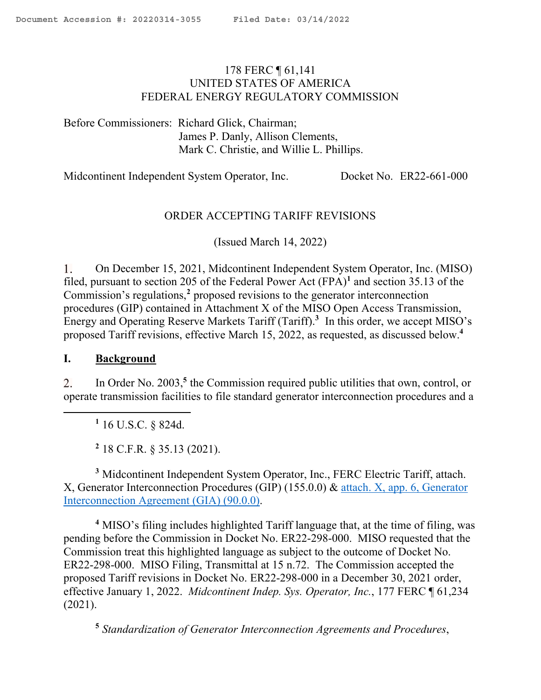# <span id="page-0-0"></span>178 FERC ¶ 61,141 UNITED STATES OF AMERICA FEDERAL ENERGY REGULATORY COMMISSION

Before Commissioners: Richard Glick, Chairman; James P. Danly, Allison Clements, Mark C. Christie, and Willie L. Phillips.

Midcontinent Independent System Operator, Inc. Docket No. ER22-661-000

# ORDER ACCEPTING TARIFF REVISIONS

(Issued March 14, 2022)

 $\mathbf{1}$ . On December 15, 2021, Midcontinent Independent System Operator, Inc. (MISO) filed, pursuant to section 205 of the Federal Power Act (FPA)**<sup>1</sup>** and section 35.13 of the Commission's regulations,**<sup>2</sup>** proposed revisions to the generator interconnection procedures (GIP) contained in Attachment X of the MISO Open Access Transmission, Energy and Operating Reserve Markets Tariff (Tariff).**<sup>3</sup>** In this order, we accept MISO's proposed Tariff revisions, effective March 15, 2022, as requested, as discussed below.**<sup>4</sup>**

### **I. Background**

 $2.$ In Order No. 2003,<sup>5</sup> the Commission required public utilities that own, control, or operate transmission facilities to file standard generator interconnection procedures and a

**1** 16 U.S.C. § 824d.

**2** 18 C.F.R. § 35.13 (2021).

**<sup>3</sup>** Midcontinent Independent System Operator, Inc., FERC Electric Tariff, attach. X, Generator Interconnection Procedures (GIP) (155.0.0) & attach. X, app. 6, Generator Interconnection Agreement (GIA) (90.0.0).

**<sup>4</sup>** MISO's filing includes highlighted Tariff language that, at the time of filing, was pending before the Commission in Docket No. ER22-298-000. MISO requested that the Commission treat this highlighted language as subject to the outcome of Docket No. ER22-298-000. MISO Filing, Transmittal at 15 n.72. The Commission accepted the proposed Tariff revisions in Docket No. ER22-298-000 in a December 30, 2021 order, effective January 1, 2022. *Midcontinent Indep. Sys. Operator, Inc.*, 177 FERC ¶ 61,234 (2021).

**5** *Standardization of Generator Interconnection Agreements and Procedures*,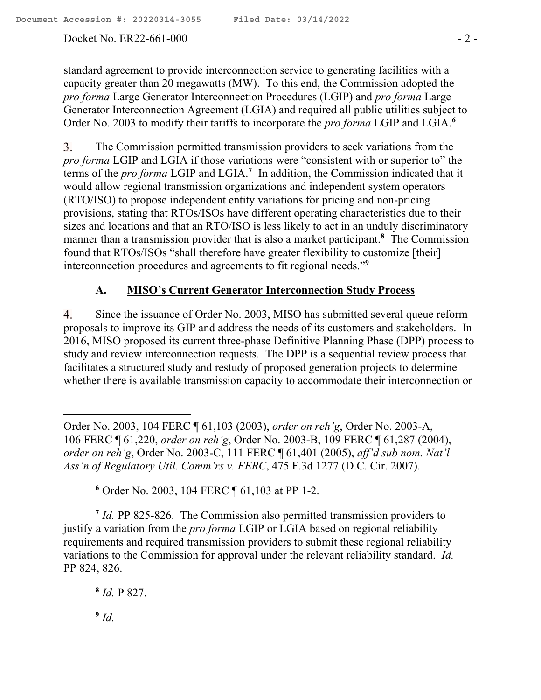## Docket No. ER22-661-000 - 2 -

standard agreement to provide interconnection service to generating facilities with a capacity greater than 20 megawatts (MW). To this end, the Commission adopted the *pro forma* Large Generator Interconnection Procedures (LGIP) and *pro forma* Large Generator Interconnection Agreement (LGIA) and required all public utilities subject to Order No. 2003 to modify their tariffs to incorporate the *pro forma* LGIP and LGIA.**<sup>6</sup>**

3. The Commission permitted transmission providers to seek variations from the *pro forma* LGIP and LGIA if those variations were "consistent with or superior to" the terms of the *pro forma* LGIP and LGIA.**<sup>7</sup>** In addition, the Commission indicated that it would allow regional transmission organizations and independent system operators (RTO/ISO) to propose independent entity variations for pricing and non-pricing provisions, stating that RTOs/ISOs have different operating characteristics due to their sizes and locations and that an RTO/ISO is less likely to act in an unduly discriminatory manner than a transmission provider that is also a market participant.**<sup>8</sup>** The Commission found that RTOs/ISOs "shall therefore have greater flexibility to customize [their] interconnection procedures and agreements to fit regional needs."**<sup>9</sup>**

# **A. MISO's Current Generator Interconnection Study Process**

Since the issuance of Order No. 2003, MISO has submitted several queue reform 4. proposals to improve its GIP and address the needs of its customers and stakeholders. In 2016, MISO proposed its current three-phase Definitive Planning Phase (DPP) process to study and review interconnection requests. The DPP is a sequential review process that facilitates a structured study and restudy of proposed generation projects to determine whether there is available transmission capacity to accommodate their interconnection or

<sup>7</sup> *Id.* PP 825-826. The Commission also permitted transmission providers to justify a variation from the *pro forma* LGIP or LGIA based on regional reliability requirements and required transmission providers to submit these regional reliability variations to the Commission for approval under the relevant reliability standard. *Id.*  PP 824, 826.

**8** *Id.* P 827.

**9** *Id.* 

 $\overline{a}$ 

Order No. 2003, 104 FERC ¶ 61,103 (2003), *order on reh'g*, Order No. 2003-A, 106 FERC ¶ 61,220, *order on reh'g*, Order No. 2003-B, 109 FERC ¶ 61,287 (2004), *order on reh'g*, Order No. 2003-C, 111 FERC ¶ 61,401 (2005), *aff'd sub nom. Nat'l Ass'n of Regulatory Util. Comm'rs v. FERC*, 475 F.3d 1277 (D.C. Cir. 2007).

**<sup>6</sup>** Order No. 2003, 104 FERC ¶ 61,103 at PP 1-2.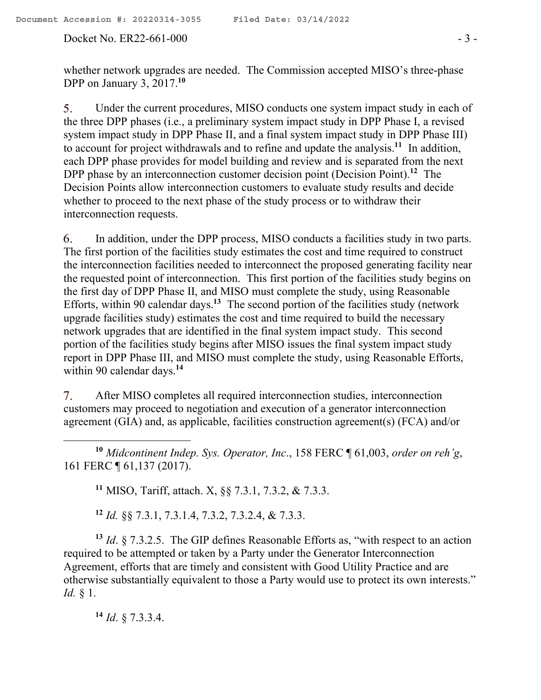Under the current procedures, MISO conducts one system impact study in each of 5. the three DPP phases (i.e., a preliminary system impact study in DPP Phase I, a revised system impact study in DPP Phase II, and a final system impact study in DPP Phase III) to account for project withdrawals and to refine and update the analysis.**<sup>11</sup>** In addition, each DPP phase provides for model building and review and is separated from the next DPP phase by an interconnection customer decision point (Decision Point).**<sup>12</sup>** The Decision Points allow interconnection customers to evaluate study results and decide whether to proceed to the next phase of the study process or to withdraw their interconnection requests.

6. In addition, under the DPP process, MISO conducts a facilities study in two parts. The first portion of the facilities study estimates the cost and time required to construct the interconnection facilities needed to interconnect the proposed generating facility near the requested point of interconnection. This first portion of the facilities study begins on the first day of DPP Phase II, and MISO must complete the study, using Reasonable Efforts, within 90 calendar days.**<sup>13</sup>** The second portion of the facilities study (network upgrade facilities study) estimates the cost and time required to build the necessary network upgrades that are identified in the final system impact study. This second portion of the facilities study begins after MISO issues the final system impact study report in DPP Phase III, and MISO must complete the study, using Reasonable Efforts, within 90 calendar days.**<sup>14</sup>**

 $7<sub>1</sub>$ After MISO completes all required interconnection studies, interconnection customers may proceed to negotiation and execution of a generator interconnection agreement (GIA) and, as applicable, facilities construction agreement(s) (FCA) and/or

**<sup>10</sup>** *Midcontinent Indep. Sys. Operator, Inc*., 158 FERC ¶ 61,003, *order on reh'g*, 161 FERC ¶ 61,137 (2017).

**<sup>11</sup>** MISO, Tariff, attach. X, §§ 7.3.1, 7.3.2, & 7.3.3.

**<sup>12</sup>** *Id.* §§ 7.3.1, 7.3.1.4, 7.3.2, 7.3.2.4, & 7.3.3.

**<sup>13</sup>** *Id*. § 7.3.2.5. The GIP defines Reasonable Efforts as, "with respect to an action required to be attempted or taken by a Party under the Generator Interconnection Agreement, efforts that are timely and consistent with Good Utility Practice and are otherwise substantially equivalent to those a Party would use to protect its own interests." *Id.* § 1.

**<sup>14</sup>** *Id*. § 7.3.3.4.

 $\overline{a}$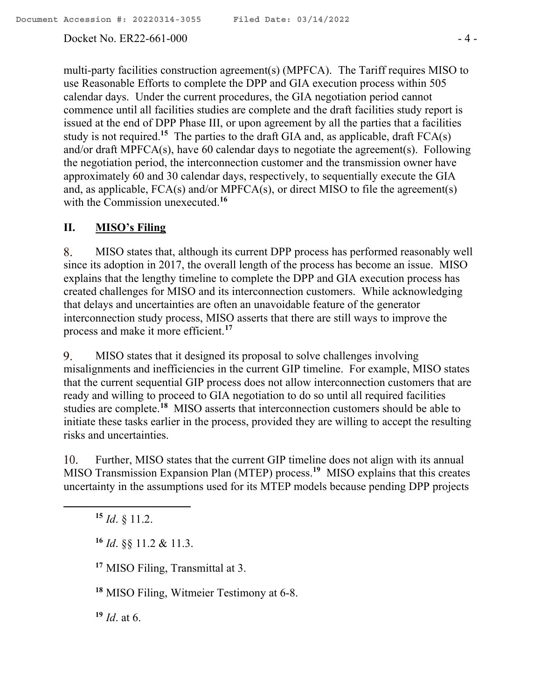Docket No. ER22-661-000 - 4 -

multi-party facilities construction agreement(s) (MPFCA). The Tariff requires MISO to use Reasonable Efforts to complete the DPP and GIA execution process within 505 calendar days. Under the current procedures, the GIA negotiation period cannot commence until all facilities studies are complete and the draft facilities study report is issued at the end of DPP Phase III, or upon agreement by all the parties that a facilities study is not required.<sup>15</sup> The parties to the draft GIA and, as applicable, draft FCA(s) and/or draft MPFCA(s), have 60 calendar days to negotiate the agreement(s). Following the negotiation period, the interconnection customer and the transmission owner have approximately 60 and 30 calendar days, respectively, to sequentially execute the GIA and, as applicable, FCA(s) and/or MPFCA(s), or direct MISO to file the agreement(s) with the Commission unexecuted. **16**

# **II. MISO's Filing**

8. MISO states that, although its current DPP process has performed reasonably well since its adoption in 2017, the overall length of the process has become an issue. MISO explains that the lengthy timeline to complete the DPP and GIA execution process has created challenges for MISO and its interconnection customers. While acknowledging that delays and uncertainties are often an unavoidable feature of the generator interconnection study process, MISO asserts that there are still ways to improve the process and make it more efficient.**<sup>17</sup>**

MISO states that it designed its proposal to solve challenges involving 9. misalignments and inefficiencies in the current GIP timeline. For example, MISO states that the current sequential GIP process does not allow interconnection customers that are ready and willing to proceed to GIA negotiation to do so until all required facilities studies are complete.**<sup>18</sup>** MISO asserts that interconnection customers should be able to initiate these tasks earlier in the process, provided they are willing to accept the resulting risks and uncertainties.

Further, MISO states that the current GIP timeline does not align with its annual 10. MISO Transmission Expansion Plan (MTEP) process.**<sup>19</sup>** MISO explains that this creates uncertainty in the assumptions used for its MTEP models because pending DPP projects

**<sup>15</sup>** *Id*. § 11.2.

**<sup>16</sup>** *Id*. §§ 11.2 & 11.3.

**<sup>17</sup>** MISO Filing, Transmittal at 3.

**<sup>18</sup>** MISO Filing, Witmeier Testimony at 6-8.

**<sup>19</sup>** *Id*. at 6.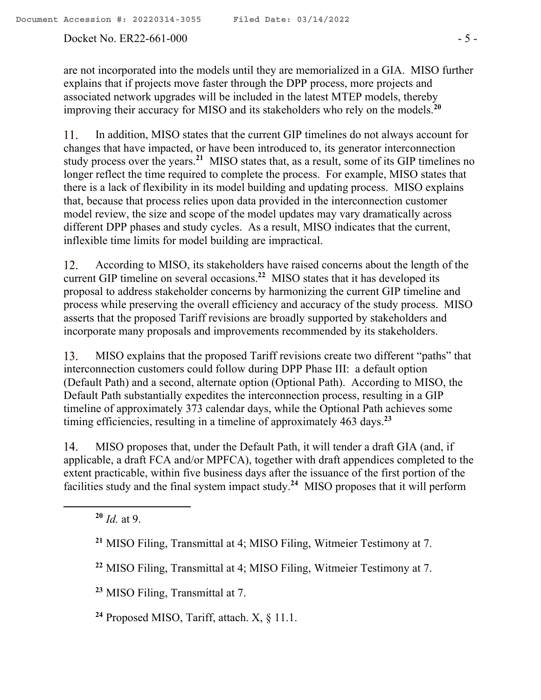#### Docket No. ER22-661-000 - 5 -

are not incorporated into the models until they are memorialized in a GIA. MISO further explains that if projects move faster through the DPP process, more projects and associated network upgrades will be included in the latest MTEP models, thereby improving their accuracy for MISO and its stakeholders who rely on the models. **20**

11. In addition, MISO states that the current GIP timelines do not always account for changes that have impacted, or have been introduced to, its generator interconnection study process over the years.**<sup>21</sup>** MISO states that, as a result, some of its GIP timelines no longer reflect the time required to complete the process. For example, MISO states that there is a lack of flexibility in its model building and updating process. MISO explains that, because that process relies upon data provided in the interconnection customer model review, the size and scope of the model updates may vary dramatically across different DPP phases and study cycles. As a result, MISO indicates that the current, inflexible time limits for model building are impractical.

According to MISO, its stakeholders have raised concerns about the length of the 12. current GIP timeline on several occasions.**<sup>22</sup>** MISO states that it has developed its proposal to address stakeholder concerns by harmonizing the current GIP timeline and process while preserving the overall efficiency and accuracy of the study process. MISO asserts that the proposed Tariff revisions are broadly supported by stakeholders and incorporate many proposals and improvements recommended by its stakeholders.

MISO explains that the proposed Tariff revisions create two different "paths" that 13. interconnection customers could follow during DPP Phase III: a default option (Default Path) and a second, alternate option (Optional Path). According to MISO, the Default Path substantially expedites the interconnection process, resulting in a GIP timeline of approximately 373 calendar days, while the Optional Path achieves some timing efficiencies, resulting in a timeline of approximately 463 days.**<sup>23</sup>**

MISO proposes that, under the Default Path, it will tender a draft GIA (and, if 14. applicable, a draft FCA and/or MPFCA), together with draft appendices completed to the extent practicable, within five business days after the issuance of the first portion of the facilities study and the final system impact study.**<sup>24</sup>** MISO proposes that it will perform

**<sup>20</sup>** *Id.* at 9.

**<sup>23</sup>** MISO Filing, Transmittal at 7.

**<sup>24</sup>** Proposed MISO, Tariff, attach. X, § 11.1.

**<sup>21</sup>** MISO Filing, Transmittal at 4; MISO Filing, Witmeier Testimony at 7.

**<sup>22</sup>** MISO Filing, Transmittal at 4; MISO Filing, Witmeier Testimony at 7.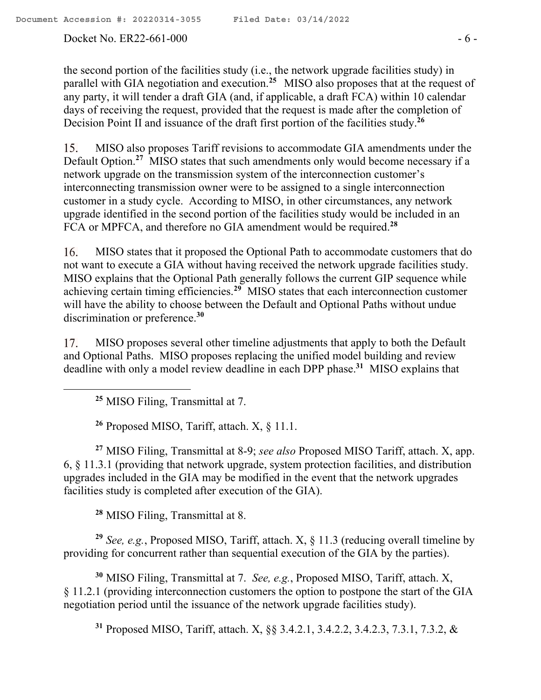#### Docket No. ER22-661-000 - 6 -

the second portion of the facilities study (i.e., the network upgrade facilities study) in parallel with GIA negotiation and execution. **25** MISO also proposes that at the request of any party, it will tender a draft GIA (and, if applicable, a draft FCA) within 10 calendar days of receiving the request, provided that the request is made after the completion of Decision Point II and issuance of the draft first portion of the facilities study.**<sup>26</sup>**

MISO also proposes Tariff revisions to accommodate GIA amendments under the 15. Default Option.**<sup>27</sup>** MISO states that such amendments only would become necessary if a network upgrade on the transmission system of the interconnection customer's interconnecting transmission owner were to be assigned to a single interconnection customer in a study cycle. According to MISO, in other circumstances, any network upgrade identified in the second portion of the facilities study would be included in an FCA or MPFCA, and therefore no GIA amendment would be required.**<sup>28</sup>**

 $16.$ MISO states that it proposed the Optional Path to accommodate customers that do not want to execute a GIA without having received the network upgrade facilities study. MISO explains that the Optional Path generally follows the current GIP sequence while achieving certain timing efficiencies.**<sup>29</sup>** MISO states that each interconnection customer will have the ability to choose between the Default and Optional Paths without undue discrimination or preference.**<sup>30</sup>**

MISO proposes several other timeline adjustments that apply to both the Default 17. and Optional Paths. MISO proposes replacing the unified model building and review deadline with only a model review deadline in each DPP phase.**<sup>31</sup>** MISO explains that

**<sup>25</sup>** MISO Filing, Transmittal at 7.

**<sup>26</sup>** Proposed MISO, Tariff, attach. X, § 11.1.

**<sup>27</sup>** MISO Filing, Transmittal at 8-9; *see also* Proposed MISO Tariff, attach. X, app. 6, § 11.3.1 (providing that network upgrade, system protection facilities, and distribution upgrades included in the GIA may be modified in the event that the network upgrades facilities study is completed after execution of the GIA).

**<sup>28</sup>** MISO Filing, Transmittal at 8.

**<sup>29</sup>** *See, e.g.*, Proposed MISO, Tariff, attach. X, § 11.3 (reducing overall timeline by providing for concurrent rather than sequential execution of the GIA by the parties).

**<sup>30</sup>** MISO Filing, Transmittal at 7. *See, e.g.*, Proposed MISO, Tariff, attach. X, § 11.2.1 (providing interconnection customers the option to postpone the start of the GIA negotiation period until the issuance of the network upgrade facilities study).

**<sup>31</sup>** Proposed MISO, Tariff, attach. X, §§ 3.4.2.1, 3.4.2.2, 3.4.2.3, 7.3.1, 7.3.2, &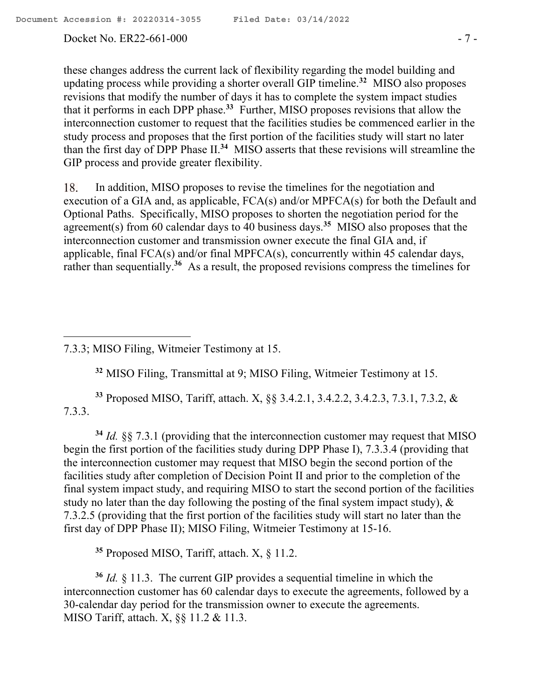$\overline{a}$ 

Docket No. ER22-661-000 - 7 -

these changes address the current lack of flexibility regarding the model building and updating process while providing a shorter overall GIP timeline.**<sup>32</sup>** MISO also proposes revisions that modify the number of days it has to complete the system impact studies that it performs in each DPP phase. **33** Further, MISO proposes revisions that allow the interconnection customer to request that the facilities studies be commenced earlier in the study process and proposes that the first portion of the facilities study will start no later than the first day of DPP Phase II. **34** MISO asserts that these revisions will streamline the GIP process and provide greater flexibility.

In addition, MISO proposes to revise the timelines for the negotiation and 18. execution of a GIA and, as applicable, FCA(s) and/or MPFCA(s) for both the Default and Optional Paths. Specifically, MISO proposes to shorten the negotiation period for the agreement(s) from 60 calendar days to 40 business days.**<sup>35</sup>** MISO also proposes that the interconnection customer and transmission owner execute the final GIA and, if applicable, final FCA(s) and/or final MPFCA(s), concurrently within 45 calendar days, rather than sequentially.<sup>36</sup> As a result, the proposed revisions compress the timelines for

**<sup>32</sup>** MISO Filing, Transmittal at 9; MISO Filing, Witmeier Testimony at 15.

**<sup>33</sup>** Proposed MISO, Tariff, attach. X, §§ 3.4.2.1, 3.4.2.2, 3.4.2.3, 7.3.1, 7.3.2, & 7.3.3.

**<sup>34</sup>** *Id.* §§ 7.3.1 (providing that the interconnection customer may request that MISO begin the first portion of the facilities study during DPP Phase I), 7.3.3.4 (providing that the interconnection customer may request that MISO begin the second portion of the facilities study after completion of Decision Point II and prior to the completion of the final system impact study, and requiring MISO to start the second portion of the facilities study no later than the day following the posting of the final system impact study), & 7.3.2.5 (providing that the first portion of the facilities study will start no later than the first day of DPP Phase II); MISO Filing, Witmeier Testimony at 15-16.

**<sup>35</sup>** Proposed MISO, Tariff, attach. X, § 11.2.

**<sup>36</sup>** *Id.* § 11.3. The current GIP provides a sequential timeline in which the interconnection customer has 60 calendar days to execute the agreements, followed by a 30-calendar day period for the transmission owner to execute the agreements. MISO Tariff, attach. X, §§ 11.2 & 11.3.

<sup>7.3.3;</sup> MISO Filing, Witmeier Testimony at 15.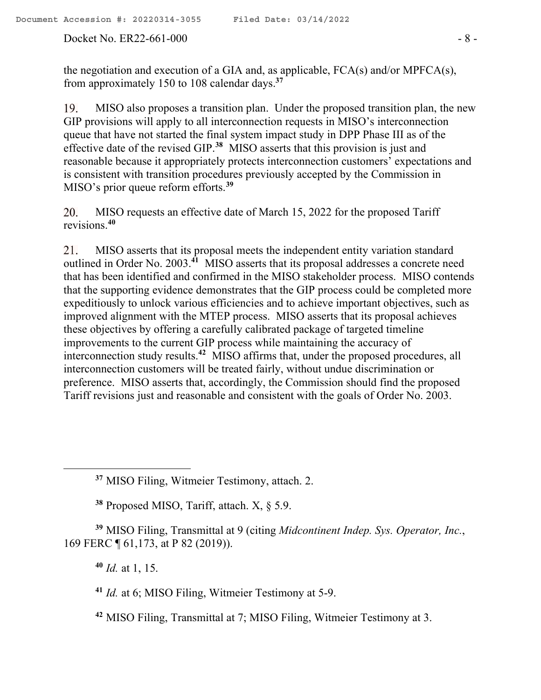the negotiation and execution of a GIA and, as applicable, FCA(s) and/or MPFCA(s), from approximately 150 to 108 calendar days.**<sup>37</sup>**

MISO also proposes a transition plan. Under the proposed transition plan, the new 19. GIP provisions will apply to all interconnection requests in MISO's interconnection queue that have not started the final system impact study in DPP Phase III as of the effective date of the revised GIP. **38** MISO asserts that this provision is just and reasonable because it appropriately protects interconnection customers' expectations and is consistent with transition procedures previously accepted by the Commission in MISO's prior queue reform efforts. **39**

MISO requests an effective date of March 15, 2022 for the proposed Tariff 20. revisions.**<sup>40</sup>**

MISO asserts that its proposal meets the independent entity variation standard 21. outlined in Order No. 2003.**<sup>41</sup>** MISO asserts that its proposal addresses a concrete need that has been identified and confirmed in the MISO stakeholder process. MISO contends that the supporting evidence demonstrates that the GIP process could be completed more expeditiously to unlock various efficiencies and to achieve important objectives, such as improved alignment with the MTEP process. MISO asserts that its proposal achieves these objectives by offering a carefully calibrated package of targeted timeline improvements to the current GIP process while maintaining the accuracy of interconnection study results.**<sup>42</sup>** MISO affirms that, under the proposed procedures, all interconnection customers will be treated fairly, without undue discrimination or preference. MISO asserts that, accordingly, the Commission should find the proposed Tariff revisions just and reasonable and consistent with the goals of Order No. 2003.

**<sup>38</sup>** Proposed MISO, Tariff, attach. X, § 5.9.

**<sup>39</sup>** MISO Filing, Transmittal at 9 (citing *Midcontinent Indep. Sys. Operator, Inc.*, 169 FERC ¶ 61,173, at P 82 (2019)).

**<sup>40</sup>** *Id.* at 1, 15.

 $\overline{a}$ 

**<sup>41</sup>** *Id.* at 6; MISO Filing, Witmeier Testimony at 5-9.

**<sup>42</sup>** MISO Filing, Transmittal at 7; MISO Filing, Witmeier Testimony at 3.

**<sup>37</sup>** MISO Filing, Witmeier Testimony, attach. 2.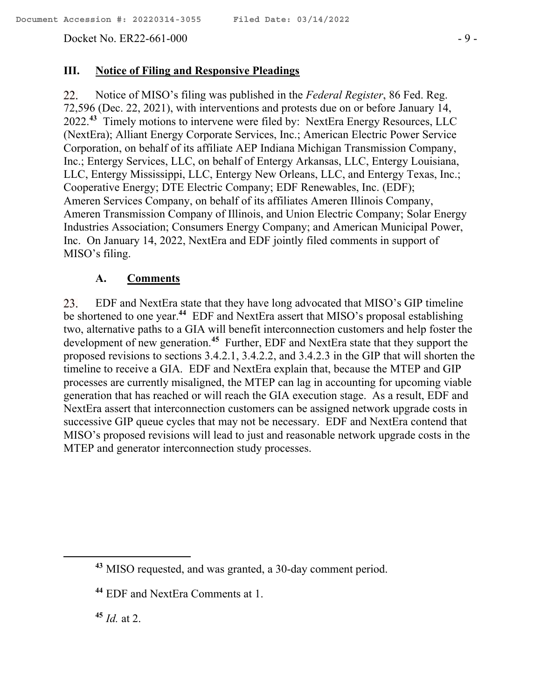Docket No. ER22-661-000 - 9 -

#### **III. Notice of Filing and Responsive Pleadings**

22. Notice of MISO's filing was published in the *Federal Register*, 86 Fed. Reg. 72,596 (Dec. 22, 2021), with interventions and protests due on or before January 14, 2022. **43** Timely motions to intervene were filed by: NextEra Energy Resources, LLC (NextEra); Alliant Energy Corporate Services, Inc.; American Electric Power Service Corporation, on behalf of its affiliate AEP Indiana Michigan Transmission Company, Inc.; Entergy Services, LLC, on behalf of Entergy Arkansas, LLC, Entergy Louisiana, LLC, Entergy Mississippi, LLC, Entergy New Orleans, LLC, and Entergy Texas, Inc.; Cooperative Energy; DTE Electric Company; EDF Renewables, Inc. (EDF); Ameren Services Company, on behalf of its affiliates Ameren Illinois Company, Ameren Transmission Company of Illinois, and Union Electric Company; Solar Energy Industries Association; Consumers Energy Company; and American Municipal Power, Inc. On January 14, 2022, NextEra and EDF jointly filed comments in support of MISO's filing.

#### **A. Comments**

EDF and NextEra state that they have long advocated that MISO's GIP timeline 23. be shortened to one year.**<sup>44</sup>** EDF and NextEra assert that MISO's proposal establishing two, alternative paths to a GIA will benefit interconnection customers and help foster the development of new generation.**<sup>45</sup>** Further, EDF and NextEra state that they support the proposed revisions to sections 3.4.2.1, 3.4.2.2, and 3.4.2.3 in the GIP that will shorten the timeline to receive a GIA. EDF and NextEra explain that, because the MTEP and GIP processes are currently misaligned, the MTEP can lag in accounting for upcoming viable generation that has reached or will reach the GIA execution stage. As a result, EDF and NextEra assert that interconnection customers can be assigned network upgrade costs in successive GIP queue cycles that may not be necessary. EDF and NextEra contend that MISO's proposed revisions will lead to just and reasonable network upgrade costs in the MTEP and generator interconnection study processes.

**<sup>45</sup>** *Id.* at 2.

 $\overline{a}$ 

**<sup>43</sup>** MISO requested, and was granted, a 30-day comment period.

**<sup>44</sup>** EDF and NextEra Comments at 1.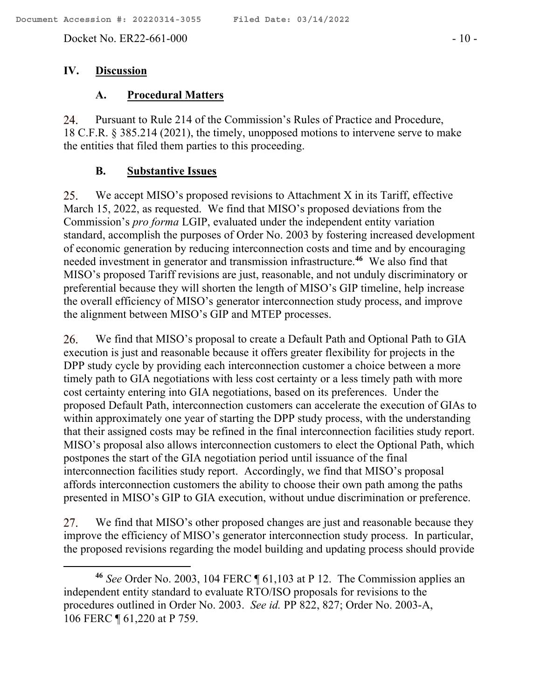Docket No. ER22-661-000 - 10 -

## **IV. Discussion**

 $\overline{a}$ 

# **A. Procedural Matters**

Pursuant to Rule 214 of the Commission's Rules of Practice and Procedure, 24. 18 C.F.R. § 385.214 (2021), the timely, unopposed motions to intervene serve to make the entities that filed them parties to this proceeding.

# **B. Substantive Issues**

We accept MISO's proposed revisions to Attachment X in its Tariff, effective 25. March 15, 2022, as requested. We find that MISO's proposed deviations from the Commission's *pro forma* LGIP, evaluated under the independent entity variation standard, accomplish the purposes of Order No. 2003 by fostering increased development of economic generation by reducing interconnection costs and time and by encouraging needed investment in generator and transmission infrastructure. **46** We also find that MISO's proposed Tariff revisions are just, reasonable, and not unduly discriminatory or preferential because they will shorten the length of MISO's GIP timeline, help increase the overall efficiency of MISO's generator interconnection study process, and improve the alignment between MISO's GIP and MTEP processes.

26. We find that MISO's proposal to create a Default Path and Optional Path to GIA execution is just and reasonable because it offers greater flexibility for projects in the DPP study cycle by providing each interconnection customer a choice between a more timely path to GIA negotiations with less cost certainty or a less timely path with more cost certainty entering into GIA negotiations, based on its preferences. Under the proposed Default Path, interconnection customers can accelerate the execution of GIAs to within approximately one year of starting the DPP study process, with the understanding that their assigned costs may be refined in the final interconnection facilities study report. MISO's proposal also allows interconnection customers to elect the Optional Path, which postpones the start of the GIA negotiation period until issuance of the final interconnection facilities study report. Accordingly, we find that MISO's proposal affords interconnection customers the ability to choose their own path among the paths presented in MISO's GIP to GIA execution, without undue discrimination or preference.

We find that MISO's other proposed changes are just and reasonable because they 27. improve the efficiency of MISO's generator interconnection study process. In particular, the proposed revisions regarding the model building and updating process should provide

**<sup>46</sup>** *See* Order No. 2003, 104 FERC ¶ 61,103 at P 12. The Commission applies an independent entity standard to evaluate RTO/ISO proposals for revisions to the procedures outlined in Order No. 2003. *See id.* PP 822, 827; Order No. 2003-A, 106 FERC ¶ 61,220 at P 759.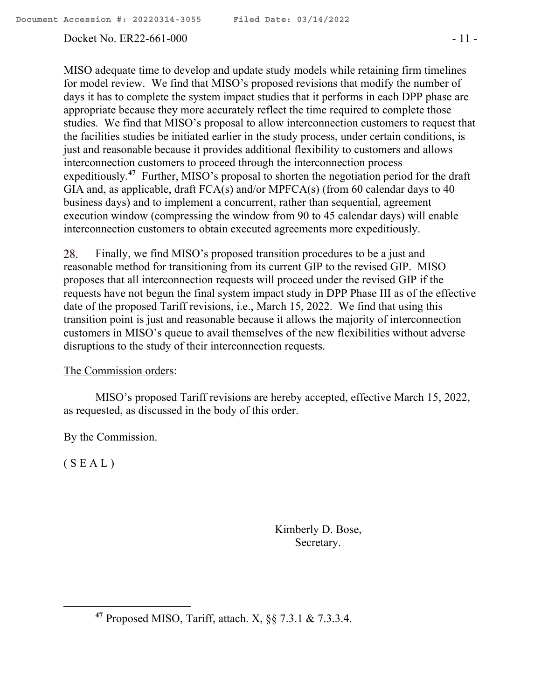### Docket No. ER22-661-000 - 11 -

MISO adequate time to develop and update study models while retaining firm timelines for model review. We find that MISO's proposed revisions that modify the number of days it has to complete the system impact studies that it performs in each DPP phase are appropriate because they more accurately reflect the time required to complete those studies. We find that MISO's proposal to allow interconnection customers to request that the facilities studies be initiated earlier in the study process, under certain conditions, is just and reasonable because it provides additional flexibility to customers and allows interconnection customers to proceed through the interconnection process expeditiously.<sup>47</sup> Further, MISO's proposal to shorten the negotiation period for the draft GIA and, as applicable, draft FCA(s) and/or MPFCA(s) (from 60 calendar days to 40 business days) and to implement a concurrent, rather than sequential, agreement execution window (compressing the window from 90 to 45 calendar days) will enable interconnection customers to obtain executed agreements more expeditiously.

28. Finally, we find MISO's proposed transition procedures to be a just and reasonable method for transitioning from its current GIP to the revised GIP. MISO proposes that all interconnection requests will proceed under the revised GIP if the requests have not begun the final system impact study in DPP Phase III as of the effective date of the proposed Tariff revisions, i.e., March 15, 2022. We find that using this transition point is just and reasonable because it allows the majority of interconnection customers in MISO's queue to avail themselves of the new flexibilities without adverse disruptions to the study of their interconnection requests.

### The Commission orders:

MISO's proposed Tariff revisions are hereby accepted, effective March 15, 2022, as requested, as discussed in the body of this order.

By the Commission.

 $(S E A L)$ 

 $\overline{a}$ 

Kimberly D. Bose, Secretary.

**<sup>47</sup>** Proposed MISO, Tariff, attach. X, §§ 7.3.1 & 7.3.3.4.